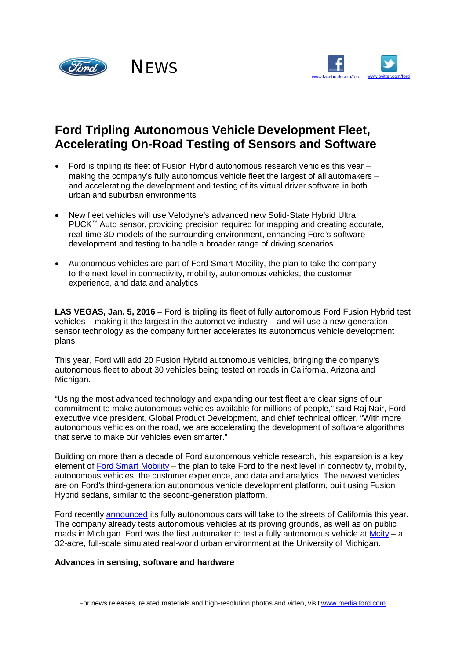



## **Ford Tripling Autonomous Vehicle Development Fleet, Accelerating On-Road Testing of Sensors and Software**

- Ford is tripling its fleet of Fusion Hybrid autonomous research vehicles this year making the company's fully autonomous vehicle fleet the largest of all automakers – and accelerating the development and testing of its virtual driver software in both urban and suburban environments
- New fleet vehicles will use Velodyne's advanced new Solid-State Hybrid Ultra PUCK™ Auto sensor, providing precision required for mapping and creating accurate, real-time 3D models of the surrounding environment, enhancing Ford's software development and testing to handle a broader range of driving scenarios
- Autonomous vehicles are part of Ford Smart Mobility, the plan to take the company to the next level in connectivity, mobility, autonomous vehicles, the customer experience, and data and analytics

LAS VEGAS, Jan. 5, 2016 – Ford is tripling its fleet of fully autonomous Ford Fusion Hybrid test vehicles – making it the largest in the automotive industry – and will use a new-generation sensor technology as the company further accelerates its autonomous vehicle development plans.

This year, Ford will add 20 Fusion Hybrid autonomous vehicles, bringing the company's autonomous fleet to about 30 vehicles being tested on roads in California, Arizona and Michigan.

"Using the most advanced technology and expanding our test fleet are clear signs of our commitment to make autonomous vehicles available for millions of people," said Raj Nair, Ford executive vice president, Global Product Development, and chief technical officer. "With more autonomous vehicles on the road, we are accelerating the development of software algorithms that serve to make our vehicles even smarter."

Building on more than a decade of Ford autonomous vehicle research, this expansion is a key element of Ford Smart Mobility – the plan to take Ford to the next level in connectivity, mobility, autonomous vehicles, the customer experience, and data and analytics. The newest vehicles are on Ford's third-generation autonomous vehicle development platform, built using Fusion Hybrid sedans, similar to the second-generation platform.

Ford recently announced its fully autonomous cars will take to the streets of California this year. The company already tests autonomous vehicles at its proving grounds, as well as on public roads in Michigan. Ford was the first automaker to test a fully autonomous vehicle at  $M$ city – a 32-acre, full-scale simulated real-world urban environment at the University of Michigan.

## **Advances in sensing, software and hardware**

For news releases, related materials and high-resolution photos and video, visit [www.media.ford.com.](http://www.media.ford.com.)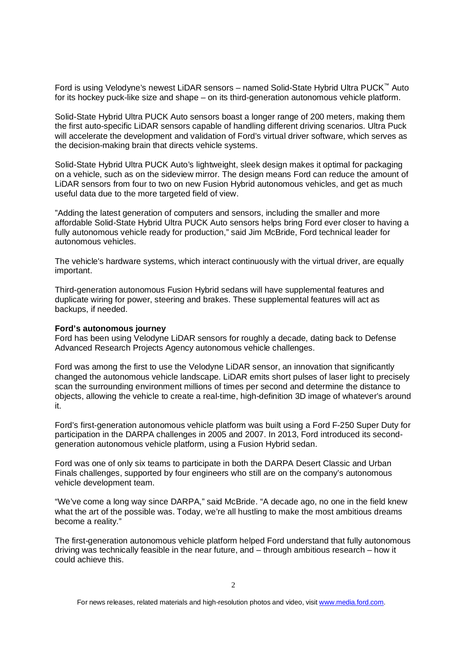Ford is using Velodyne's newest LiDAR sensors – named Solid-State Hybrid Ultra PUCK™ Auto for its hockey puck-like size and shape – on its third-generation autonomous vehicle platform.

Solid-State Hybrid Ultra PUCK Auto sensors boast a longer range of 200 meters, making them the first auto-specific LiDAR sensors capable of handling different driving scenarios. Ultra Puck will accelerate the development and validation of Ford's virtual driver software, which serves as the decision-making brain that directs vehicle systems.

Solid-State Hybrid Ultra PUCK Auto's lightweight, sleek design makes it optimal for packaging on a vehicle, such as on the sideview mirror. The design means Ford can reduce the amount of LiDAR sensors from four to two on new Fusion Hybrid autonomous vehicles, and get as much useful data due to the more targeted field of view.

"Adding the latest generation of computers and sensors, including the smaller and more affordable Solid-State Hybrid Ultra PUCK Auto sensors helps bring Ford ever closer to having a fully autonomous vehicle ready for production," said Jim McBride, Ford technical leader for autonomous vehicles.

The vehicle's hardware systems, which interact continuously with the virtual driver, are equally important.

Third-generation autonomous Fusion Hybrid sedans will have supplemental features and duplicate wiring for power, steering and brakes. These supplemental features will act as backups, if needed.

## **Ford's autonomous journey**

Ford has been using Velodyne LiDAR sensors for roughly a decade, dating back to Defense Advanced Research Projects Agency autonomous vehicle challenges.

Ford was among the first to use the Velodyne LiDAR sensor, an innovation that significantly changed the autonomous vehicle landscape. LiDAR emits short pulses of laser light to precisely scan the surrounding environment millions of times per second and determine the distance to objects, allowing the vehicle to create a real-time, high-definition 3D image of whatever's around it.

Ford's first-generation autonomous vehicle platform was built using a Ford F-250 Super Duty for participation in the DARPA challenges in 2005 and 2007. In 2013, Ford introduced its secondgeneration autonomous vehicle platform, using a Fusion Hybrid sedan.

Ford was one of only six teams to participate in both the DARPA Desert Classic and Urban Finals challenges, supported by four engineers who still are on the company's autonomous vehicle development team.

"We've come a long way since DARPA," said McBride. "A decade ago, no one in the field knew what the art of the possible was. Today, we're all hustling to make the most ambitious dreams become a reality."

The first-generation autonomous vehicle platform helped Ford understand that fully autonomous driving was technically feasible in the near future, and – through ambitious research – how it could achieve this.

For news releases, related materials and high-resolution photos and video, visit [www.media.ford.com.](http://www.media.ford.com.)